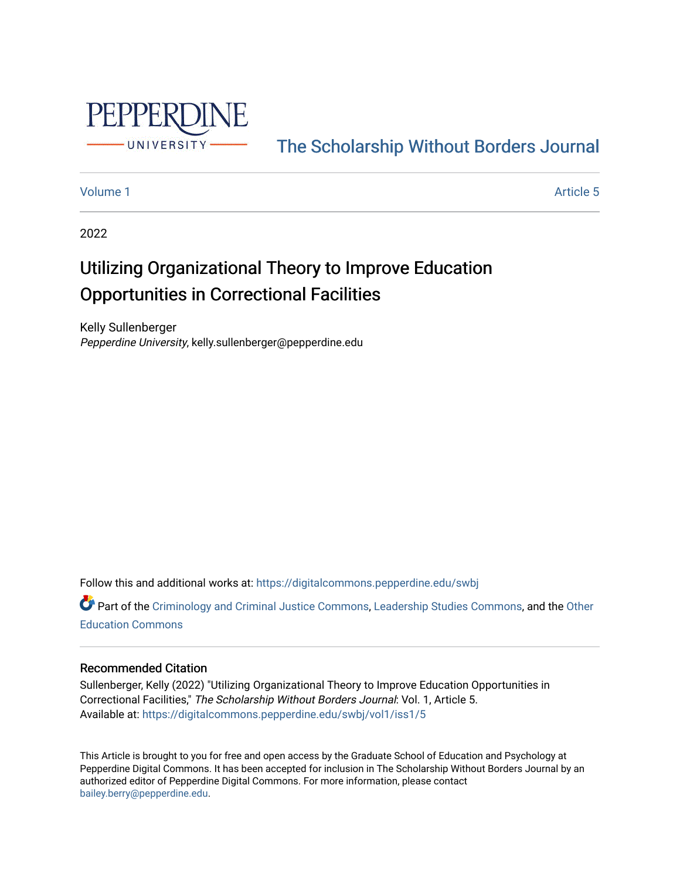

## [The Scholarship Without Borders Journal](https://digitalcommons.pepperdine.edu/swbj)

#### [Volume 1](https://digitalcommons.pepperdine.edu/swbj/vol1) Article 5

2022

# Utilizing Organizational Theory to Improve Education Opportunities in Correctional Facilities

Kelly Sullenberger Pepperdine University, kelly.sullenberger@pepperdine.edu

Follow this and additional works at: [https://digitalcommons.pepperdine.edu/swbj](https://digitalcommons.pepperdine.edu/swbj?utm_source=digitalcommons.pepperdine.edu%2Fswbj%2Fvol1%2Fiss1%2F5&utm_medium=PDF&utm_campaign=PDFCoverPages)

Part of the [Criminology and Criminal Justice Commons](https://network.bepress.com/hgg/discipline/367?utm_source=digitalcommons.pepperdine.edu%2Fswbj%2Fvol1%2Fiss1%2F5&utm_medium=PDF&utm_campaign=PDFCoverPages), [Leadership Studies Commons](https://network.bepress.com/hgg/discipline/1250?utm_source=digitalcommons.pepperdine.edu%2Fswbj%2Fvol1%2Fiss1%2F5&utm_medium=PDF&utm_campaign=PDFCoverPages), and the Other [Education Commons](https://network.bepress.com/hgg/discipline/811?utm_source=digitalcommons.pepperdine.edu%2Fswbj%2Fvol1%2Fiss1%2F5&utm_medium=PDF&utm_campaign=PDFCoverPages) 

#### Recommended Citation

Sullenberger, Kelly (2022) "Utilizing Organizational Theory to Improve Education Opportunities in Correctional Facilities," The Scholarship Without Borders Journal: Vol. 1, Article 5. Available at: [https://digitalcommons.pepperdine.edu/swbj/vol1/iss1/5](https://digitalcommons.pepperdine.edu/swbj/vol1/iss1/5?utm_source=digitalcommons.pepperdine.edu%2Fswbj%2Fvol1%2Fiss1%2F5&utm_medium=PDF&utm_campaign=PDFCoverPages) 

This Article is brought to you for free and open access by the Graduate School of Education and Psychology at Pepperdine Digital Commons. It has been accepted for inclusion in The Scholarship Without Borders Journal by an authorized editor of Pepperdine Digital Commons. For more information, please contact [bailey.berry@pepperdine.edu](mailto:bailey.berry@pepperdine.edu).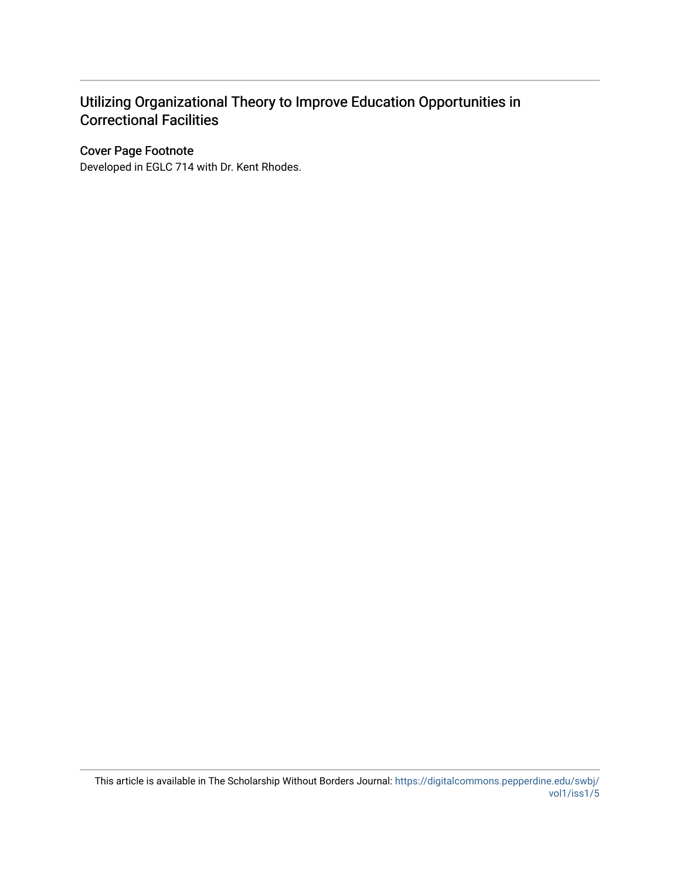### Utilizing Organizational Theory to Improve Education Opportunities in Correctional Facilities

#### Cover Page Footnote

Developed in EGLC 714 with Dr. Kent Rhodes.

This article is available in The Scholarship Without Borders Journal: [https://digitalcommons.pepperdine.edu/swbj/](https://digitalcommons.pepperdine.edu/swbj/vol1/iss1/5) [vol1/iss1/5](https://digitalcommons.pepperdine.edu/swbj/vol1/iss1/5)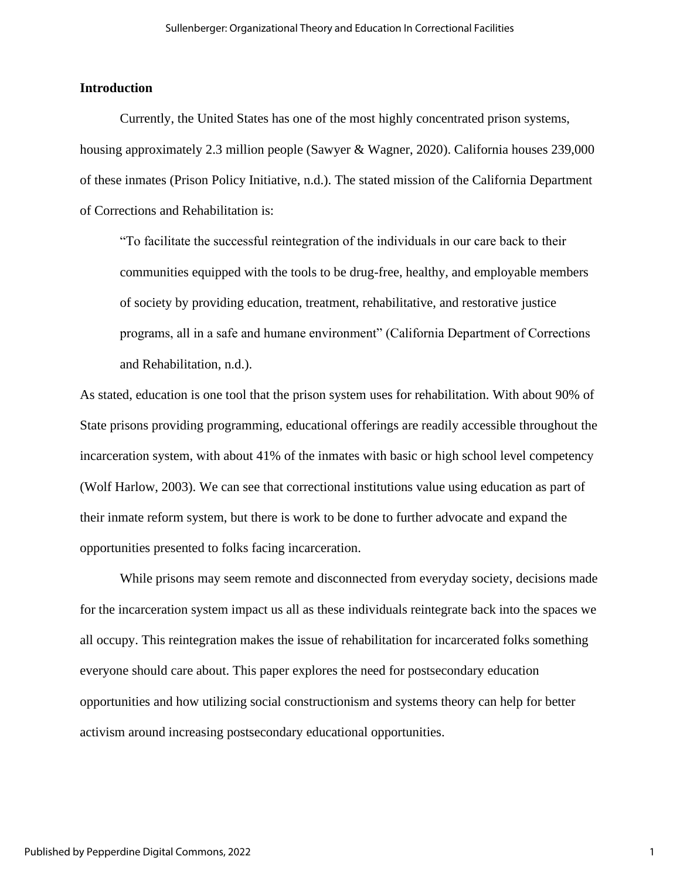#### **Introduction**

Currently, the United States has one of the most highly concentrated prison systems, housing approximately 2.3 million people (Sawyer & Wagner, 2020). California houses 239,000 of these inmates (Prison Policy Initiative, n.d.). The stated mission of the California Department of Corrections and Rehabilitation is:

"To facilitate the successful reintegration of the individuals in our care back to their communities equipped with the tools to be drug-free, healthy, and employable members of society by providing education, treatment, rehabilitative, and restorative justice programs, all in a safe and humane environment" (California Department of Corrections and Rehabilitation, n.d.).

As stated, education is one tool that the prison system uses for rehabilitation. With about 90% of State prisons providing programming, educational offerings are readily accessible throughout the incarceration system, with about 41% of the inmates with basic or high school level competency (Wolf Harlow, 2003). We can see that correctional institutions value using education as part of their inmate reform system, but there is work to be done to further advocate and expand the opportunities presented to folks facing incarceration.

While prisons may seem remote and disconnected from everyday society, decisions made for the incarceration system impact us all as these individuals reintegrate back into the spaces we all occupy. This reintegration makes the issue of rehabilitation for incarcerated folks something everyone should care about. This paper explores the need for postsecondary education opportunities and how utilizing social constructionism and systems theory can help for better activism around increasing postsecondary educational opportunities.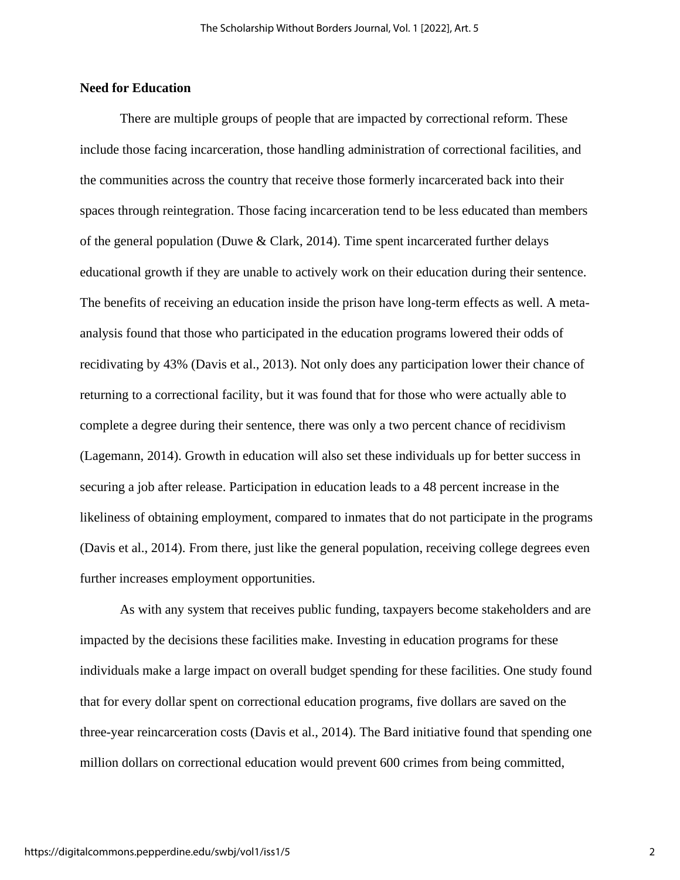#### **Need for Education**

There are multiple groups of people that are impacted by correctional reform. These include those facing incarceration, those handling administration of correctional facilities, and the communities across the country that receive those formerly incarcerated back into their spaces through reintegration. Those facing incarceration tend to be less educated than members of the general population (Duwe & Clark, 2014). Time spent incarcerated further delays educational growth if they are unable to actively work on their education during their sentence. The benefits of receiving an education inside the prison have long-term effects as well. A metaanalysis found that those who participated in the education programs lowered their odds of recidivating by 43% (Davis et al., 2013). Not only does any participation lower their chance of returning to a correctional facility, but it was found that for those who were actually able to complete a degree during their sentence, there was only a two percent chance of recidivism (Lagemann, 2014). Growth in education will also set these individuals up for better success in securing a job after release. Participation in education leads to a 48 percent increase in the likeliness of obtaining employment, compared to inmates that do not participate in the programs (Davis et al., 2014). From there, just like the general population, receiving college degrees even further increases employment opportunities.

As with any system that receives public funding, taxpayers become stakeholders and are impacted by the decisions these facilities make. Investing in education programs for these individuals make a large impact on overall budget spending for these facilities. One study found that for every dollar spent on correctional education programs, five dollars are saved on the three-year reincarceration costs (Davis et al., 2014). The Bard initiative found that spending one million dollars on correctional education would prevent 600 crimes from being committed,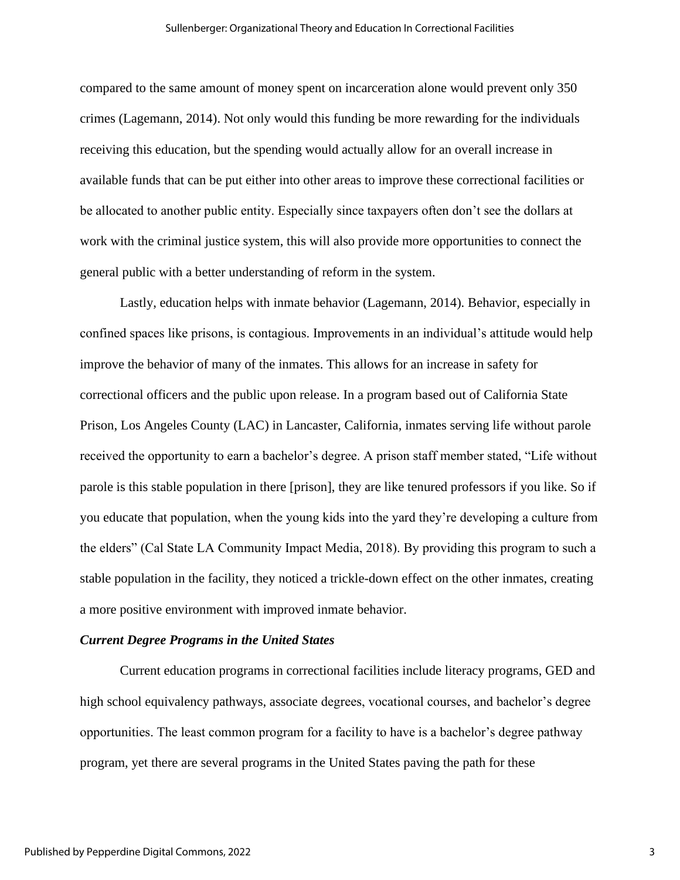compared to the same amount of money spent on incarceration alone would prevent only 350 crimes (Lagemann, 2014). Not only would this funding be more rewarding for the individuals receiving this education, but the spending would actually allow for an overall increase in available funds that can be put either into other areas to improve these correctional facilities or be allocated to another public entity. Especially since taxpayers often don't see the dollars at work with the criminal justice system, this will also provide more opportunities to connect the general public with a better understanding of reform in the system.

Lastly, education helps with inmate behavior (Lagemann, 2014). Behavior, especially in confined spaces like prisons, is contagious. Improvements in an individual's attitude would help improve the behavior of many of the inmates. This allows for an increase in safety for correctional officers and the public upon release. In a program based out of California State Prison, Los Angeles County (LAC) in Lancaster, California, inmates serving life without parole received the opportunity to earn a bachelor's degree. A prison staff member stated, "Life without parole is this stable population in there [prison], they are like tenured professors if you like. So if you educate that population, when the young kids into the yard they're developing a culture from the elders" (Cal State LA Community Impact Media, 2018). By providing this program to such a stable population in the facility, they noticed a trickle-down effect on the other inmates, creating a more positive environment with improved inmate behavior.

#### *Current Degree Programs in the United States*

Current education programs in correctional facilities include literacy programs, GED and high school equivalency pathways, associate degrees, vocational courses, and bachelor's degree opportunities. The least common program for a facility to have is a bachelor's degree pathway program, yet there are several programs in the United States paving the path for these

3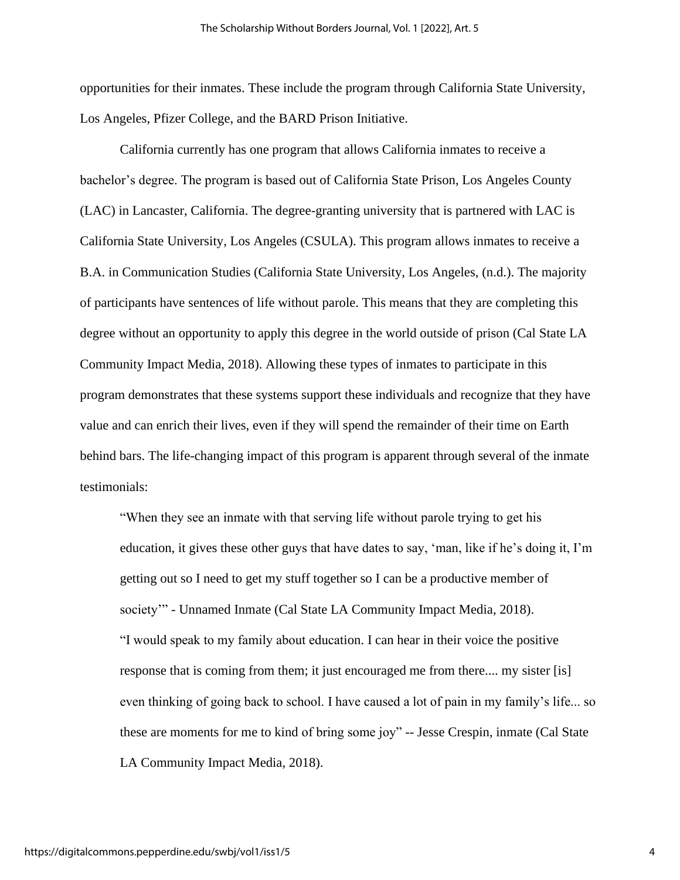opportunities for their inmates. These include the program through California State University, Los Angeles, Pfizer College, and the BARD Prison Initiative.

California currently has one program that allows California inmates to receive a bachelor's degree. The program is based out of California State Prison, Los Angeles County (LAC) in Lancaster, California. The degree-granting university that is partnered with LAC is California State University, Los Angeles (CSULA). This program allows inmates to receive a B.A. in Communication Studies (California State University, Los Angeles, (n.d.). The majority of participants have sentences of life without parole. This means that they are completing this degree without an opportunity to apply this degree in the world outside of prison (Cal State LA Community Impact Media, 2018). Allowing these types of inmates to participate in this program demonstrates that these systems support these individuals and recognize that they have value and can enrich their lives, even if they will spend the remainder of their time on Earth behind bars. The life-changing impact of this program is apparent through several of the inmate testimonials:

"When they see an inmate with that serving life without parole trying to get his education, it gives these other guys that have dates to say, 'man, like if he's doing it, I'm getting out so I need to get my stuff together so I can be a productive member of society'" - Unnamed Inmate (Cal State LA Community Impact Media, 2018). "I would speak to my family about education. I can hear in their voice the positive response that is coming from them; it just encouraged me from there.... my sister [is] even thinking of going back to school. I have caused a lot of pain in my family's life... so these are moments for me to kind of bring some joy" -- Jesse Crespin, inmate (Cal State LA Community Impact Media, 2018).

4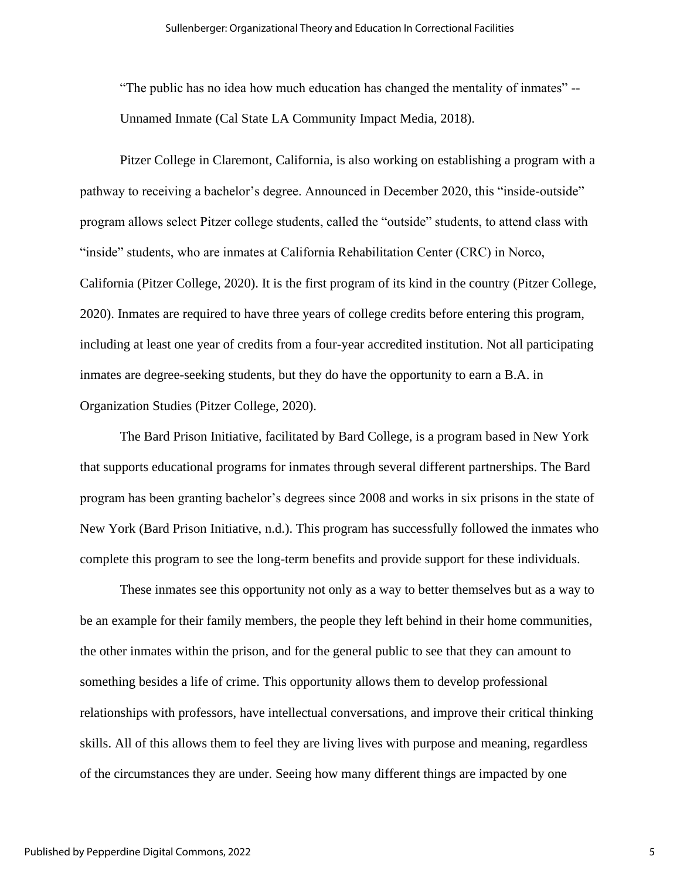"The public has no idea how much education has changed the mentality of inmates" -- Unnamed Inmate (Cal State LA Community Impact Media, 2018).

Pitzer College in Claremont, California, is also working on establishing a program with a pathway to receiving a bachelor's degree. Announced in December 2020, this "inside-outside" program allows select Pitzer college students, called the "outside" students, to attend class with "inside" students, who are inmates at California Rehabilitation Center (CRC) in Norco, California (Pitzer College, 2020). It is the first program of its kind in the country (Pitzer College, 2020). Inmates are required to have three years of college credits before entering this program, including at least one year of credits from a four-year accredited institution. Not all participating inmates are degree-seeking students, but they do have the opportunity to earn a B.A. in Organization Studies (Pitzer College, 2020).

The Bard Prison Initiative, facilitated by Bard College, is a program based in New York that supports educational programs for inmates through several different partnerships. The Bard program has been granting bachelor's degrees since 2008 and works in six prisons in the state of New York (Bard Prison Initiative, n.d.). This program has successfully followed the inmates who complete this program to see the long-term benefits and provide support for these individuals.

These inmates see this opportunity not only as a way to better themselves but as a way to be an example for their family members, the people they left behind in their home communities, the other inmates within the prison, and for the general public to see that they can amount to something besides a life of crime. This opportunity allows them to develop professional relationships with professors, have intellectual conversations, and improve their critical thinking skills. All of this allows them to feel they are living lives with purpose and meaning, regardless of the circumstances they are under. Seeing how many different things are impacted by one

5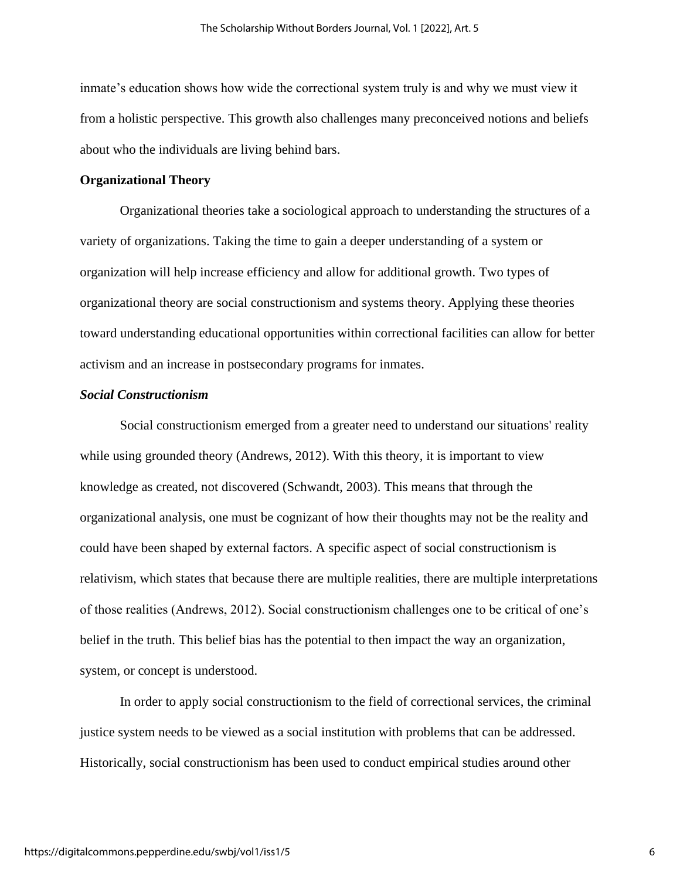inmate's education shows how wide the correctional system truly is and why we must view it from a holistic perspective. This growth also challenges many preconceived notions and beliefs about who the individuals are living behind bars.

#### **Organizational Theory**

Organizational theories take a sociological approach to understanding the structures of a variety of organizations. Taking the time to gain a deeper understanding of a system or organization will help increase efficiency and allow for additional growth. Two types of organizational theory are social constructionism and systems theory. Applying these theories toward understanding educational opportunities within correctional facilities can allow for better activism and an increase in postsecondary programs for inmates.

#### *Social Constructionism*

Social constructionism emerged from a greater need to understand our situations' reality while using grounded theory (Andrews, 2012). With this theory, it is important to view knowledge as created, not discovered (Schwandt, 2003). This means that through the organizational analysis, one must be cognizant of how their thoughts may not be the reality and could have been shaped by external factors. A specific aspect of social constructionism is relativism, which states that because there are multiple realities, there are multiple interpretations of those realities (Andrews, 2012). Social constructionism challenges one to be critical of one's belief in the truth. This belief bias has the potential to then impact the way an organization, system, or concept is understood.

In order to apply social constructionism to the field of correctional services, the criminal justice system needs to be viewed as a social institution with problems that can be addressed. Historically, social constructionism has been used to conduct empirical studies around other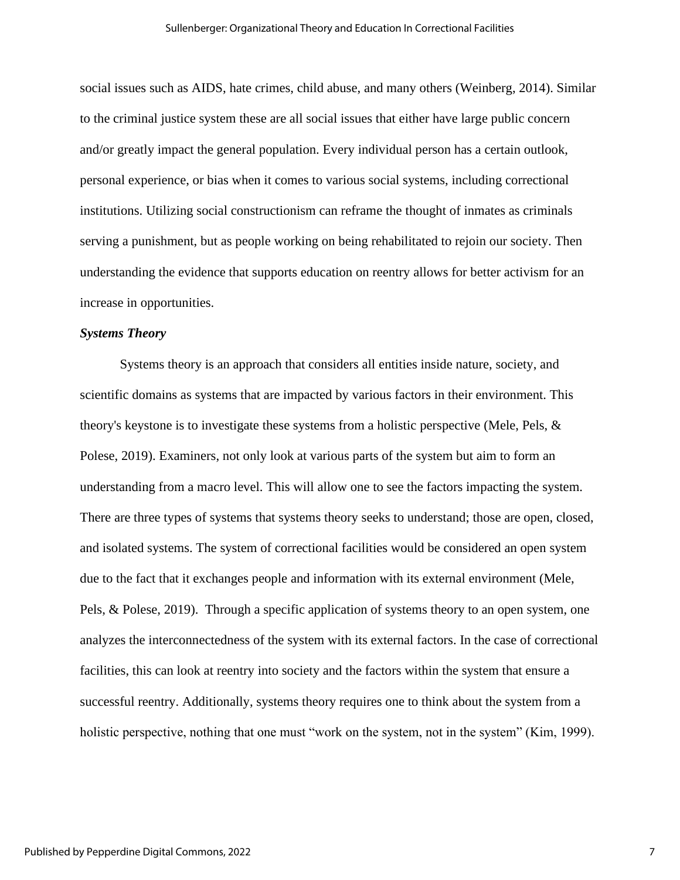social issues such as AIDS, hate crimes, child abuse, and many others (Weinberg, 2014). Similar to the criminal justice system these are all social issues that either have large public concern and/or greatly impact the general population. Every individual person has a certain outlook, personal experience, or bias when it comes to various social systems, including correctional institutions. Utilizing social constructionism can reframe the thought of inmates as criminals serving a punishment, but as people working on being rehabilitated to rejoin our society. Then understanding the evidence that supports education on reentry allows for better activism for an increase in opportunities.

#### *Systems Theory*

Systems theory is an approach that considers all entities inside nature, society, and scientific domains as systems that are impacted by various factors in their environment. This theory's keystone is to investigate these systems from a holistic perspective (Mele, Pels, & Polese, 2019). Examiners, not only look at various parts of the system but aim to form an understanding from a macro level. This will allow one to see the factors impacting the system. There are three types of systems that systems theory seeks to understand; those are open, closed, and isolated systems. The system of correctional facilities would be considered an open system due to the fact that it exchanges people and information with its external environment (Mele, Pels, & Polese, 2019). Through a specific application of systems theory to an open system, one analyzes the interconnectedness of the system with its external factors. In the case of correctional facilities, this can look at reentry into society and the factors within the system that ensure a successful reentry. Additionally, systems theory requires one to think about the system from a holistic perspective, nothing that one must "work on the system, not in the system" (Kim, 1999).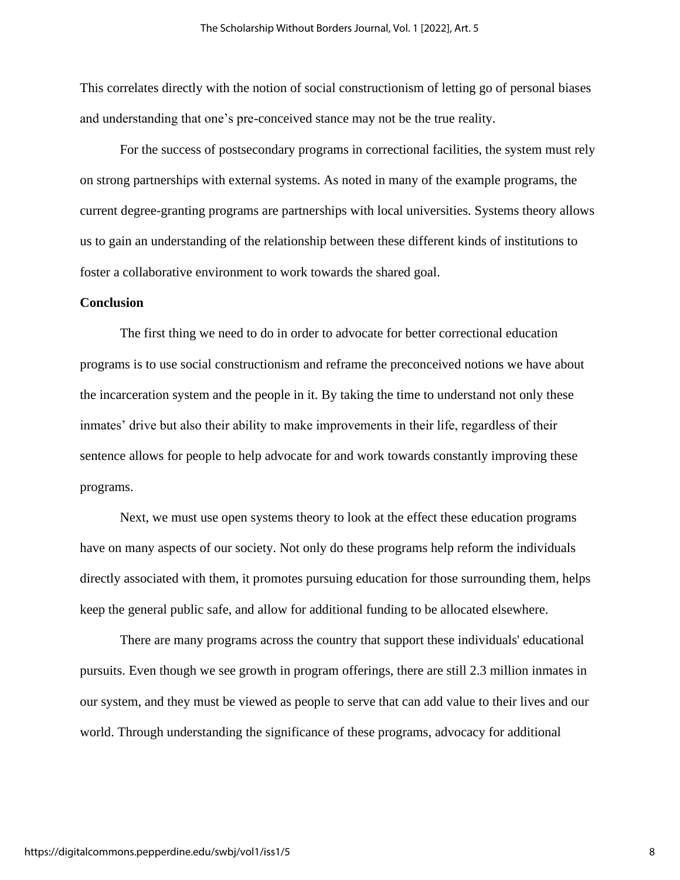This correlates directly with the notion of social constructionism of letting go of personal biases and understanding that one's pre-conceived stance may not be the true reality.

For the success of postsecondary programs in correctional facilities, the system must rely on strong partnerships with external systems. As noted in many of the example programs, the current degree-granting programs are partnerships with local universities. Systems theory allows us to gain an understanding of the relationship between these different kinds of institutions to foster a collaborative environment to work towards the shared goal.

#### **Conclusion**

The first thing we need to do in order to advocate for better correctional education programs is to use social constructionism and reframe the preconceived notions we have about the incarceration system and the people in it. By taking the time to understand not only these inmates' drive but also their ability to make improvements in their life, regardless of their sentence allows for people to help advocate for and work towards constantly improving these programs.

Next, we must use open systems theory to look at the effect these education programs have on many aspects of our society. Not only do these programs help reform the individuals directly associated with them, it promotes pursuing education for those surrounding them, helps keep the general public safe, and allow for additional funding to be allocated elsewhere.

There are many programs across the country that support these individuals' educational pursuits. Even though we see growth in program offerings, there are still 2.3 million inmates in our system, and they must be viewed as people to serve that can add value to their lives and our world. Through understanding the significance of these programs, advocacy for additional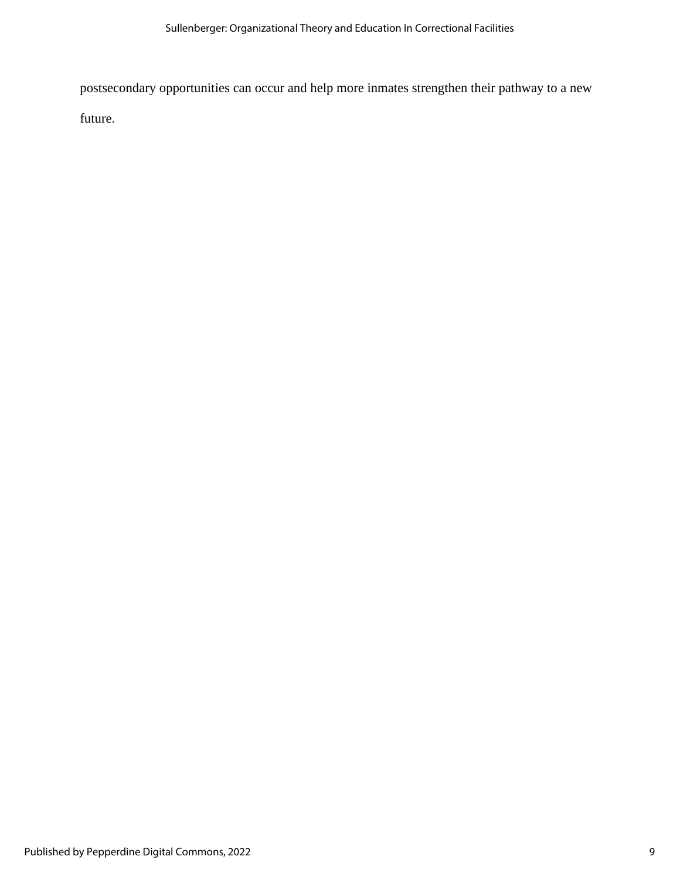postsecondary opportunities can occur and help more inmates strengthen their pathway to a new

future.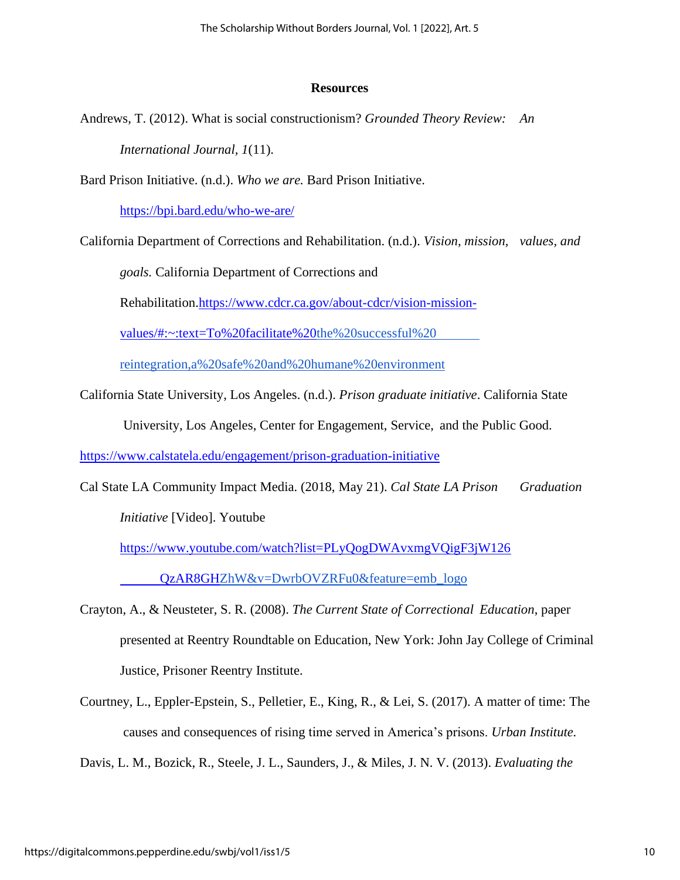#### **Resources**

Andrews, T. (2012). What is social constructionism? *Grounded Theory Review: An* 

*International Journal, 1*(11).

Bard Prison Initiative. (n.d.). *Who we are.* Bard Prison Initiative.

<https://bpi.bard.edu/who-we-are/>

California Department of Corrections and Rehabilitation. (n.d.). *Vision, mission, values, and* 

*goals.* California Department of Corrections and

Rehabilitation[.https://www.cdcr.ca.gov/about-cdcr/vision-mission-](https://www.cdcr.ca.gov/about-cdcr/vision-mission-values/#:~:text=To%20facilitate%20)

[values/#:~:text=To%20facilitate%20](https://www.cdcr.ca.gov/about-cdcr/vision-mission-values/#:~:text=To%20facilitate%20)[the%20successful%20](https://www.cdcr.ca.gov/about-cdcr/vision-mission-values/#:~:text=To%20facilitate%20the%20successful%20reintegration,a%20safe%20and%20humane%20environment)

[reintegration,a%20safe%20and%20humane%20environment](https://www.cdcr.ca.gov/about-cdcr/vision-mission-values/#:~:text=To%20facilitate%20the%20successful%20reintegration,a%20safe%20and%20humane%20environment)

California State University, Los Angeles. (n.d.). *Prison graduate initiative*. California State

University, Los Angeles, Center for Engagement, Service, and the Public Good.

<https://www.calstatela.edu/engagement/prison-graduation-initiative>

Cal State LA Community Impact Media. (2018, May 21). *Cal State LA Prison Graduation Initiative* [Video]. Youtube

[https://www.youtube.com/watch?list=PLyQogDWAvxmgVQigF3jW126](https://www.youtube.com/watch?list=PLyQogDWAvxmgVQigF3jW126%09QzAR8GH)

[QzAR8GH](https://www.youtube.com/watch?list=PLyQogDWAvxmgVQigF3jW126%09QzAR8GH)[ZhW&v=DwrbOVZRFu0&feature=emb\\_logo](https://www.youtube.com/watch?list=PLyQogDWAvxmgVQigF3jW126QzAR8GHZhW&v=DwrbOVZRFu0&feature=emb_logo)

- Crayton, A., & Neusteter, S. R. (2008). *The Current State of Correctional Education*, paper presented at Reentry Roundtable on Education, New York: John Jay College of Criminal Justice, Prisoner Reentry Institute.
- Courtney, L., Eppler-Epstein, S., Pelletier, E., King, R., & Lei, S. (2017). A matter of time: The causes and consequences of rising time served in America's prisons. *Urban Institute.*

Davis, L. M., Bozick, R., Steele, J. L., Saunders, J., & Miles, J. N. V. (2013). *Evaluating the*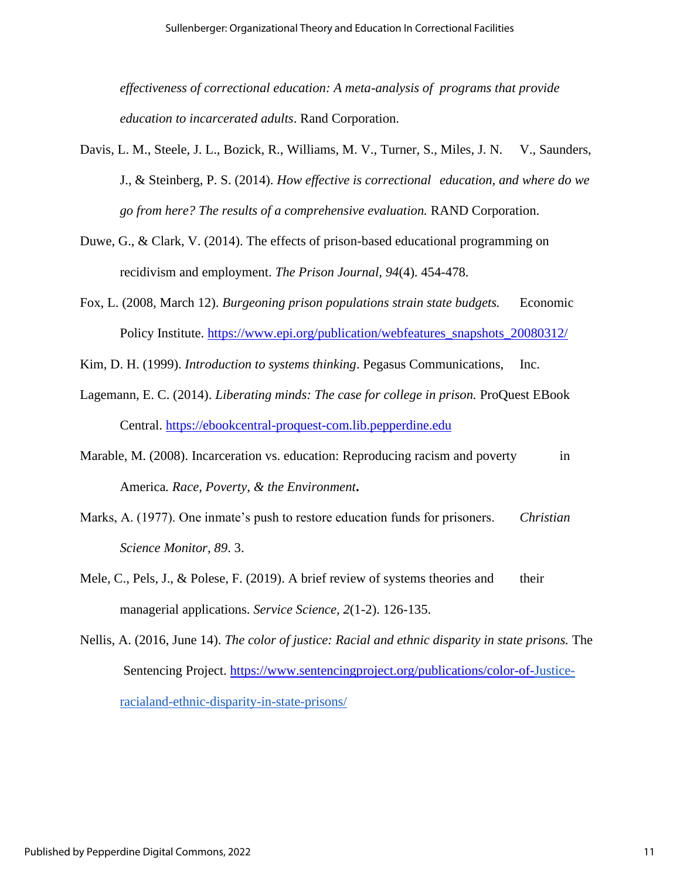*effectiveness of correctional education: A meta-analysis of programs that provide education to incarcerated adults*. Rand Corporation.

- Davis, L. M., Steele, J. L., Bozick, R., Williams, M. V., Turner, S., Miles, J. N. V., Saunders, J., & Steinberg, P. S. (2014). *How effective is correctional education, and where do we go from here? The results of a comprehensive evaluation.* RAND Corporation.
- Duwe, G., & Clark, V. (2014). The effects of prison-based educational programming on recidivism and employment. *The Prison Journal, 94*(4). 454-478.
- Fox, L. (2008, March 12). *Burgeoning prison populations strain state budgets.* Economic Policy Institute. https://www.epi.org/publication/webfeatures\_snapshots\_20080312/
- Kim, D. H. (1999). *Introduction to systems thinking*. Pegasus Communications, Inc.
- Lagemann, E. C. (2014). *Liberating minds: The case for college in prison.* ProQuest EBook Central. https://ebookcentral-proquest-com.lib.pepperdine.edu
- Marable, M. (2008). Incarceration vs. education: Reproducing racism and poverty in America*. Race, Poverty, & the Environment***.**
- Marks, A. (1977). One inmate's push to restore education funds for prisoners. *Christian Science Monitor, 89*. 3.
- Mele, C., Pels, J., & Polese, F. (2019). A brief review of systems theories and their managerial applications. *Service Science, 2*(1-2). 126-135.
- Nellis, A. (2016, June 14). *The color of justice: Racial and ethnic disparity in state prisons.* The Sentencing Project. https://www.sentencingproject.org/publications/color-of-Justiceracialand-ethnic-disparity-in-state-prisons/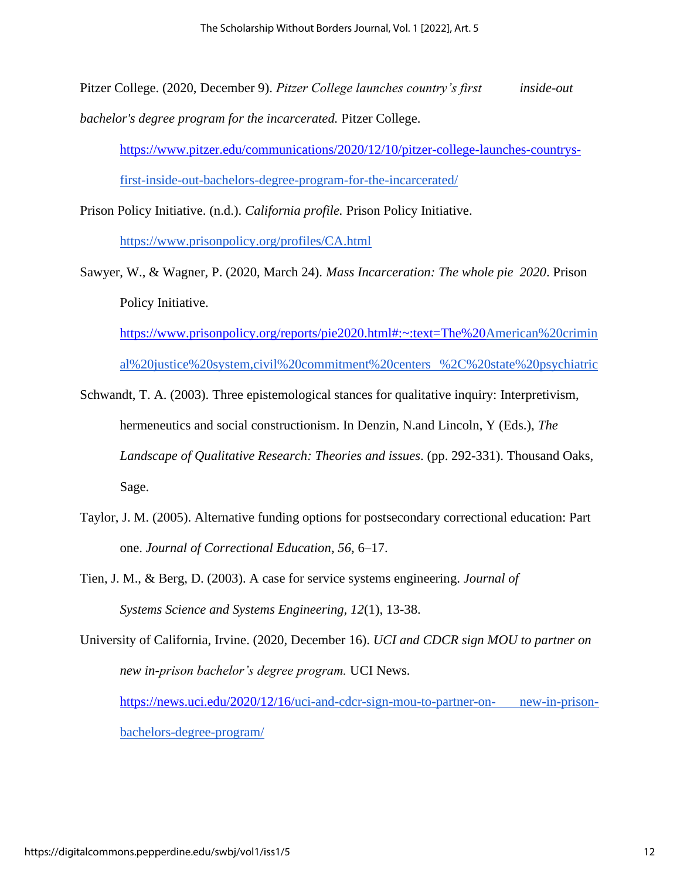Pitzer College. (2020, December 9). *Pitzer College launches country's first inside-out bachelor's degree program for the incarcerated.* Pitzer College.

https://www.pitzer.edu/communications/2020/12/10/pitzer-college-launches-countrysfirst-inside-out-bachelors-degree-program-for-the-incarcerated/

Prison Policy Initiative. (n.d.). *California profile.* Prison Policy Initiative. https://www.prisonpolicy.org/profiles/CA.html

Sawyer, W., & Wagner, P. (2020, March 24). *Mass Incarceration: The whole pie 2020*. Prison Policy Initiative.

https://www.prisonpolicy.org/reports/pie2020.html#:~:text=The%20American%20crimin al%20justice%20system,civil%20commitment%20centers %2C%20state%20psychiatric

Schwandt, T. A. (2003). Three epistemological stances for qualitative inquiry: Interpretivism, hermeneutics and social constructionism. In Denzin, N.and Lincoln, Y (Eds.), *The Landscape of Qualitative Research: Theories and issues*. (pp. 292-331). Thousand Oaks, Sage.

- Taylor, J. M. (2005). Alternative funding options for postsecondary correctional education: Part one. *Journal of Correctional Education*, *56*, 6–17.
- Tien, J. M., & Berg, D. (2003). A case for service systems engineering. *Journal of Systems Science and Systems Engineering, 12*(1), 13-38.
- University of California, Irvine. (2020, December 16). *UCI and CDCR sign MOU to partner on new in-prison bachelor's degree program.* UCI News.

https://news.uci.edu/2020/12/16/uci-and-cdcr-sign-mou-to-partner-on- new-in-prisonbachelors-degree-program/